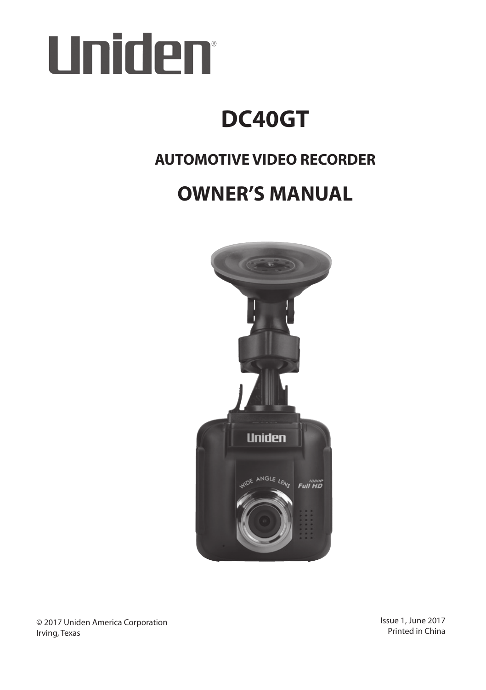

# **DC40GT**

#### **AUTOMOTIVE VIDEO RECORDER**

### **OWNER'S MANUAL**



© 2017 Uniden America Corporation Irving, Texas

Issue 1, June 2017 Printed in China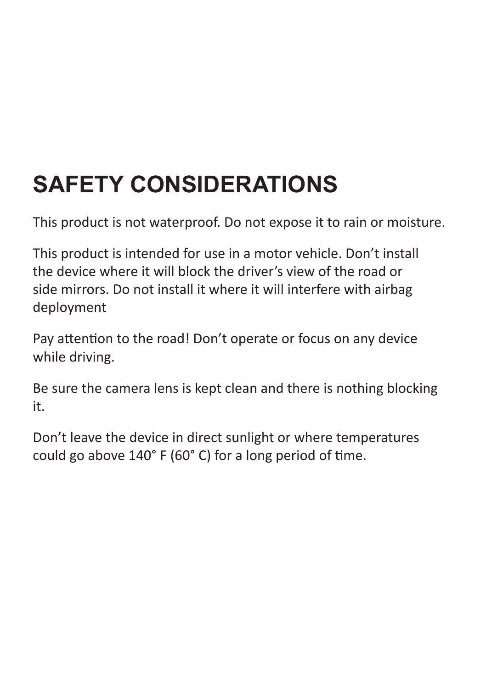# **SAFETY CONSIDERATIONS**

This product is not waterproof. Do not expose it to rain or moisture.

This product is intended for use in a motor vehicle. Don't install the device where it will block the driver's view of the road or side mirrors. Do not install it where it will interfere with airbag deployment

Pay attention to the road! Don't operate or focus on any device while driving.

Be sure the camera lens is kept clean and there is nothing blocking it.

Don't leave the device in direct sunlight or where temperatures could go above 140° F (60° C) for a long period of time.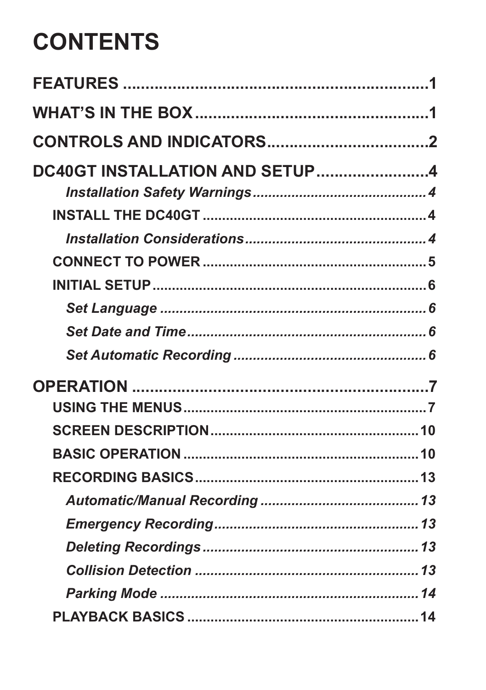# **CONTENTS**

| DC40GT INSTALLATION AND SETUP4 |  |
|--------------------------------|--|
|                                |  |
|                                |  |
|                                |  |
|                                |  |
|                                |  |
|                                |  |
|                                |  |
|                                |  |
|                                |  |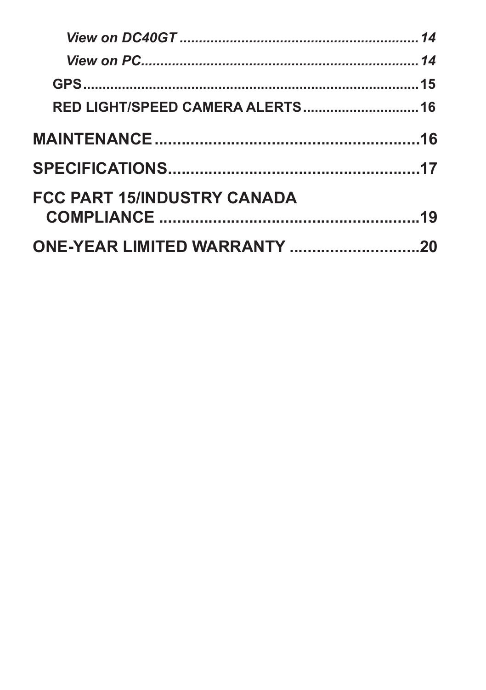| RED LIGHT/SPEED CAMERA ALERTS 16   |  |
|------------------------------------|--|
|                                    |  |
|                                    |  |
| <b>FCC PART 15/INDUSTRY CANADA</b> |  |
|                                    |  |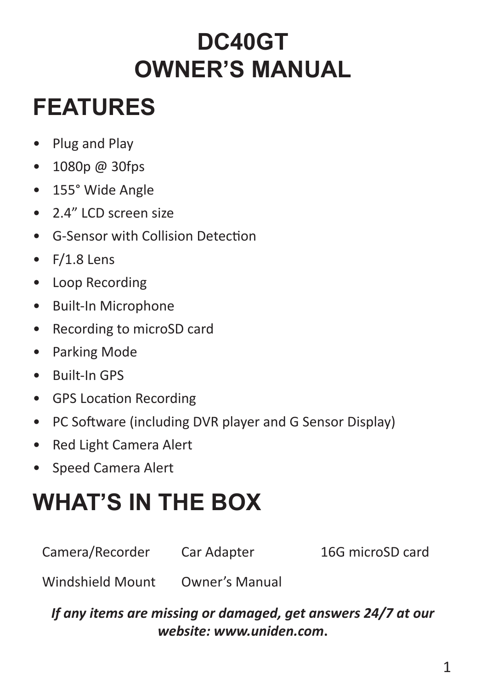# **DC40GT OWNER'S MANUAL**

# **FEATURES**

- Plug and Play
- 1080p @ 30fps
- 155° Wide Angle
- 2.4" LCD screen size
- G-Sensor with Collision Detection
- F/1.8 Lens
- Loop Recording
- Built-In Microphone
- Recording to microSD card
- Parking Mode
- Built-In GPS
- GPS Location Recording
- PC Software (including DVR player and G Sensor Display)
- Red Light Camera Alert
- Speed Camera Alert

# **WHAT'S IN THE BOX**

Camera/Recorder Car Adapter 16G microSD card

Windshield Mount Owner's Manual

*If any items are missing or damaged, get answers 24/7 at our website: www.uniden.com***.**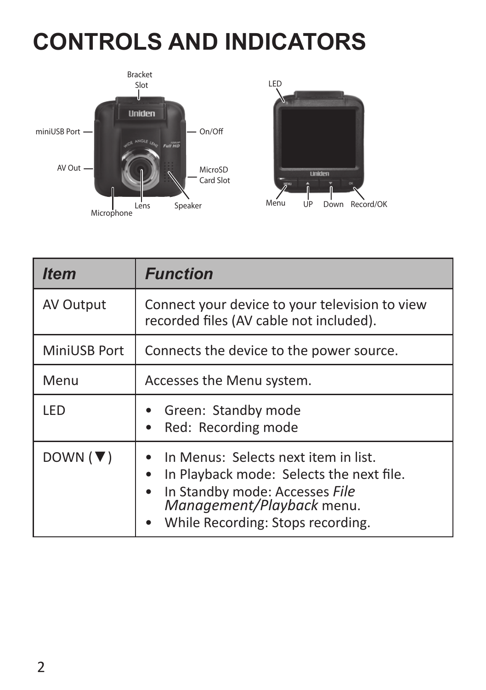# **CONTROLS AND INDICATORS**



| <b>Item</b>     | <b>Function</b>                                                                                                                                                                      |
|-----------------|--------------------------------------------------------------------------------------------------------------------------------------------------------------------------------------|
| AV Output       | Connect your device to your television to view<br>recorded files (AV cable not included).                                                                                            |
| MiniUSB Port    | Connects the device to the power source.                                                                                                                                             |
| Menu            | Accesses the Menu system.                                                                                                                                                            |
| LFD             | Green: Standby mode<br>Red: Recording mode                                                                                                                                           |
| DOWN $(\nabla)$ | In Menus: Selects next item in list.<br>In Playback mode: Selects the next file.<br>In Standby mode: Accesses File<br>Management/Playback menu.<br>While Recording: Stops recording. |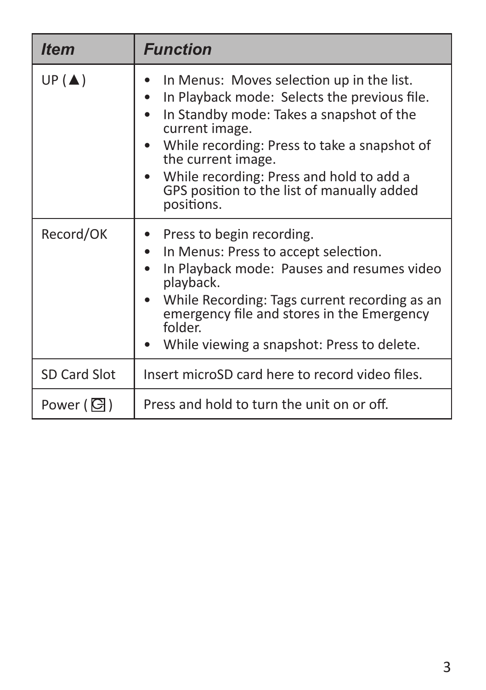| <b>Item</b>         | <b>Function</b>                                                                                                                                                                                                                                                                                                                       |
|---------------------|---------------------------------------------------------------------------------------------------------------------------------------------------------------------------------------------------------------------------------------------------------------------------------------------------------------------------------------|
| UP(A)               | In Menus: Moves selection up in the list.<br>In Playback mode: Selects the previous file.<br>In Standby mode: Takes a snapshot of the<br>current image.<br>While recording: Press to take a snapshot of<br>the current image.<br>While recording: Press and hold to add a<br>GPS position to the list of manually added<br>positions. |
| Record/OK           | • Press to begin recording.<br>In Menus: Press to accept selection.<br>In Playback mode: Pauses and resumes video<br>playback.<br>While Recording: Tags current recording as an<br>emergency file and stores in the Emergency<br>folder.<br>• While viewing a snapshot: Press to delete.                                              |
| SD Card Slot        | Insert microSD card here to record video files.                                                                                                                                                                                                                                                                                       |
| Power $(\boxtimes)$ | Press and hold to turn the unit on or off.                                                                                                                                                                                                                                                                                            |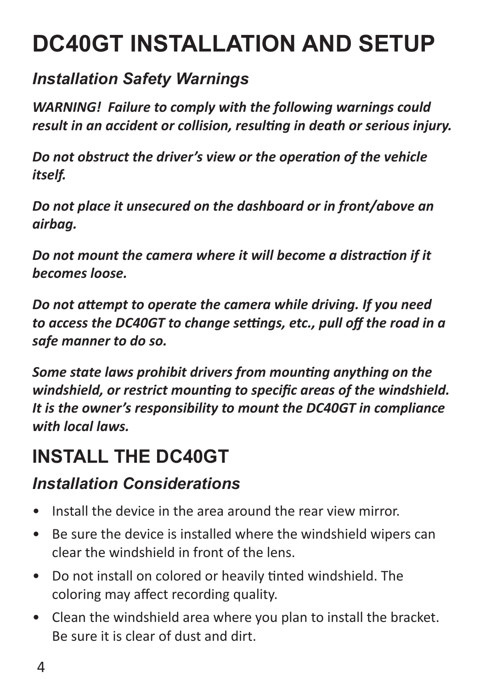# **DC40GT INSTALLATION AND SETUP**

#### *Installation Safety Warnings*

*WARNING! Failure to comply with the following warnings could result in an accident or collision, resulting in death or serious injury.*

*Do not obstruct the driver's view or the operation of the vehicle itself.*

*Do not place it unsecured on the dashboard or in front/above an airbag.*

*Do not mount the camera where it will become a distraction if it becomes loose.*

*Do not attempt to operate the camera while driving. If you need to access the DC40GT to change settings, etc., pull off the road in a safe manner to do so.* 

*Some state laws prohibit drivers from mounting anything on the windshield, or restrict mounting to specific areas of the windshield. It is the owner's responsibility to mount the DC40GT in compliance with local laws.*

### **INSTALL THE DC40GT**

#### *Installation Considerations*

- Install the device in the area around the rear view mirror.
- Be sure the device is installed where the windshield wipers can clear the windshield in front of the lens.
- Do not install on colored or heavily tinted windshield. The coloring may affect recording quality.
- Clean the windshield area where you plan to install the bracket. Be sure it is clear of dust and dirt.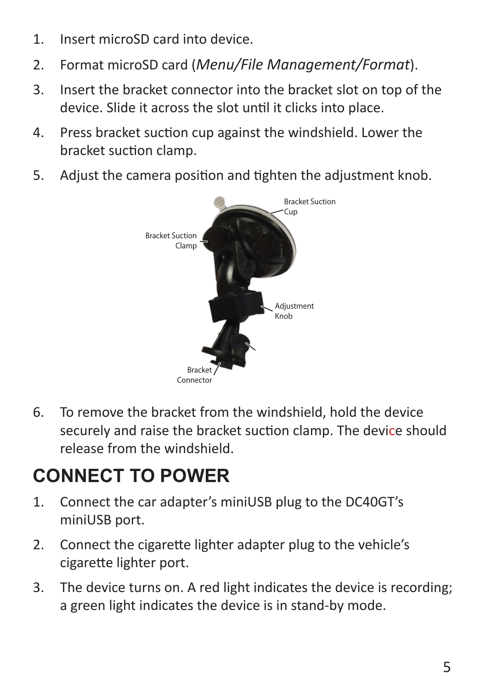- 1. Insert microSD card into device.
- 2. Format microSD card (*Menu/File Management/Format*).
- 3. Insert the bracket connector into the bracket slot on top of the device. Slide it across the slot until it clicks into place.
- 4. Press bracket suction cup against the windshield. Lower the bracket suction clamp.
- 5. Adjust the camera position and tighten the adjustment knob.



6. To remove the bracket from the windshield, hold the device securely and raise the bracket suction clamp. The device should release from the windshield.

## **CONNECT TO POWER**

- 1. Connect the car adapter's miniUSB plug to the DC40GT's miniUSB port.
- 2. Connect the cigarette lighter adapter plug to the vehicle's cigarette lighter port.
- 3. The device turns on. A red light indicates the device is recording; a green light indicates the device is in stand-by mode.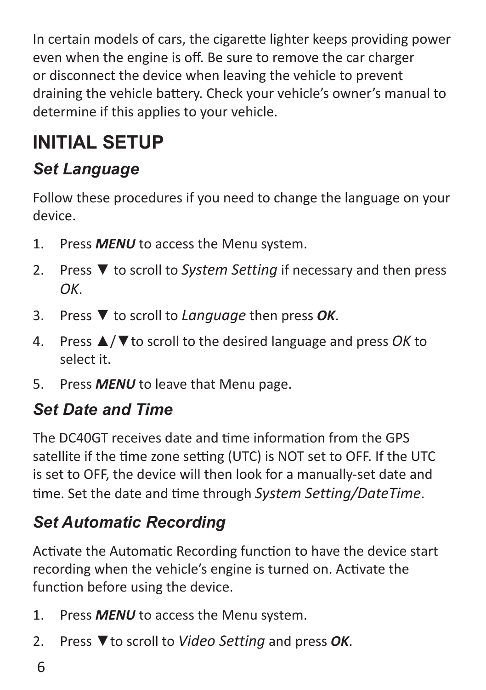In certain models of cars, the cigarette lighter keeps providing power even when the engine is off. Be sure to remove the car charger or disconnect the device when leaving the vehicle to prevent draining the vehicle battery. Check your vehicle's owner's manual to determine if this applies to your vehicle.

## **INITIAL SETUP**

### *Set Language*

Follow these procedures if you need to change the language on your device.

- 1. Press *MENU* to access the Menu system.
- 2. Press ▼ to scroll to *System Setting* if necessary and then press *OK*.
- 3. Press ▼ to scroll to *Language* then press *OK*.
- 4. Press ▲/▼to scroll to the desired language and press *OK* to select it.
- 5. Press *MENU* to leave that Menu page.

#### *Set Date and Time*

The DC40GT receives date and time information from the GPS satellite if the time zone setting (UTC) is NOT set to OFF. If the UTC is set to OFF, the device will then look for a manually-set date and time. Set the date and time through *System Setting/DateTime*.

#### *Set Automatic Recording*

Activate the Automatic Recording function to have the device start recording when the vehicle's engine is turned on. Activate the function before using the device.

- 1. Press *MENU* to access the Menu system.
- 2. Press ▼to scroll to *Video Setting* and press *OK*.
- 6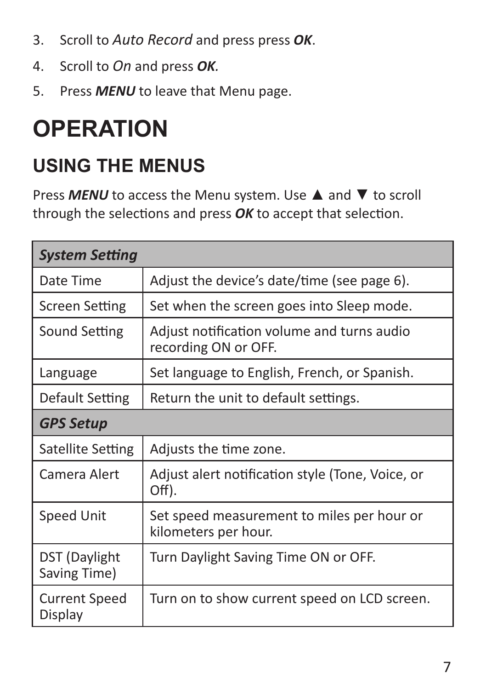- 3. Scroll to *Auto Record* and press press *OK*.
- 4. Scroll to *On* and press *OK.*
- 5. Press *MENU* to leave that Menu page.

# **OPERATION**

## **USING THE MENUS**

Press **MENU** to access the Menu system. Use **▲** and ▼ to scroll through the selections and press *OK* to accept that selection.

| <b>System Setting</b>           |                                                                    |  |
|---------------------------------|--------------------------------------------------------------------|--|
| Date Time                       | Adjust the device's date/time (see page 6).                        |  |
| Screen Setting                  | Set when the screen goes into Sleep mode.                          |  |
| Sound Setting                   | Adjust notification volume and turns audio<br>recording ON or OFF. |  |
| Language                        | Set language to English, French, or Spanish.                       |  |
| Default Setting                 | Return the unit to default settings.                               |  |
| <b>GPS Setup</b>                |                                                                    |  |
| Satellite Setting               | Adjusts the time zone.                                             |  |
| Camera Alert                    | Adjust alert notification style (Tone, Voice, or<br>Off).          |  |
| Speed Unit                      | Set speed measurement to miles per hour or<br>kilometers per hour. |  |
| DST (Daylight<br>Saving Time)   | Turn Daylight Saving Time ON or OFF.                               |  |
| <b>Current Speed</b><br>Display | Turn on to show current speed on LCD screen.                       |  |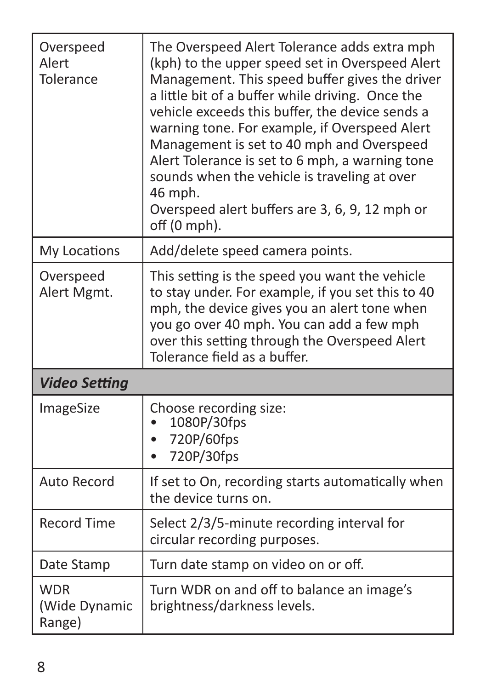| Overspeed<br>Alert<br>Tolerance       | The Overspeed Alert Tolerance adds extra mph<br>(kph) to the upper speed set in Overspeed Alert<br>Management. This speed buffer gives the driver<br>a little bit of a buffer while driving. Once the<br>vehicle exceeds this buffer, the device sends a<br>warning tone. For example, if Overspeed Alert<br>Management is set to 40 mph and Overspeed<br>Alert Tolerance is set to 6 mph, a warning tone<br>sounds when the vehicle is traveling at over<br>46 mph.<br>Overspeed alert buffers are 3, 6, 9, 12 mph or<br>off (0 mph). |
|---------------------------------------|----------------------------------------------------------------------------------------------------------------------------------------------------------------------------------------------------------------------------------------------------------------------------------------------------------------------------------------------------------------------------------------------------------------------------------------------------------------------------------------------------------------------------------------|
| My Locations                          | Add/delete speed camera points.                                                                                                                                                                                                                                                                                                                                                                                                                                                                                                        |
| Overspeed<br>Alert Mgmt.              | This setting is the speed you want the vehicle<br>to stay under. For example, if you set this to 40<br>mph, the device gives you an alert tone when<br>you go over 40 mph. You can add a few mph<br>over this setting through the Overspeed Alert<br>Tolerance field as a buffer.                                                                                                                                                                                                                                                      |
| Video Setting                         |                                                                                                                                                                                                                                                                                                                                                                                                                                                                                                                                        |
| ImageSize                             | Choose recording size:<br>1080P/30fps<br>720P/60fps<br>٠<br>720P/30fps<br>٠                                                                                                                                                                                                                                                                                                                                                                                                                                                            |
| Auto Record                           | If set to On, recording starts automatically when<br>the device turns on.                                                                                                                                                                                                                                                                                                                                                                                                                                                              |
| Record Time                           | Select 2/3/5-minute recording interval for<br>circular recording purposes.                                                                                                                                                                                                                                                                                                                                                                                                                                                             |
| Date Stamp                            | Turn date stamp on video on or off.                                                                                                                                                                                                                                                                                                                                                                                                                                                                                                    |
| <b>WDR</b><br>(Wide Dynamic<br>Range) | Turn WDR on and off to balance an image's<br>brightness/darkness levels.                                                                                                                                                                                                                                                                                                                                                                                                                                                               |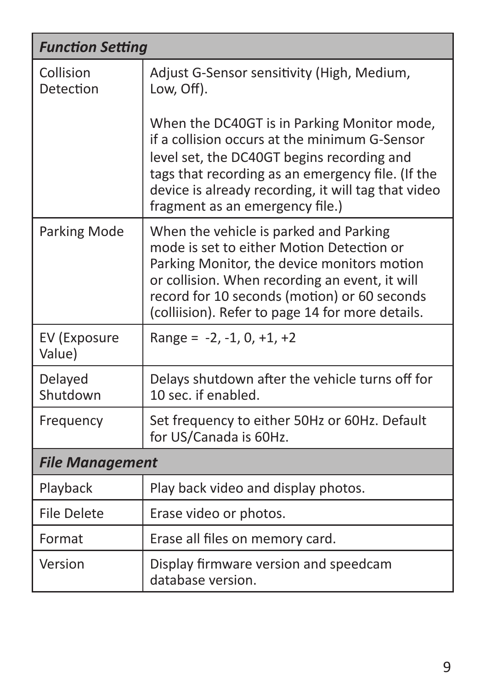|                        | <b>Function Setting</b>                                                                                                                                                                                                                                                                   |  |
|------------------------|-------------------------------------------------------------------------------------------------------------------------------------------------------------------------------------------------------------------------------------------------------------------------------------------|--|
| Collision<br>Detection | Adjust G-Sensor sensitivity (High, Medium,<br>Low, Off).                                                                                                                                                                                                                                  |  |
|                        | When the DC40GT is in Parking Monitor mode,<br>if a collision occurs at the minimum G-Sensor<br>level set, the DC40GT begins recording and<br>tags that recording as an emergency file. (If the<br>device is already recording, it will tag that video<br>fragment as an emergency file.) |  |
| Parking Mode           | When the vehicle is parked and Parking<br>mode is set to either Motion Detection or<br>Parking Monitor, the device monitors motion<br>or collision. When recording an event, it will<br>record for 10 seconds (motion) or 60 seconds<br>(colliision). Refer to page 14 for more details.  |  |
| EV (Exposure<br>Value) | Range = $-2, -1, 0, +1, +2$                                                                                                                                                                                                                                                               |  |
| Delayed<br>Shutdown    | Delays shutdown after the vehicle turns off for<br>10 sec. if enabled.                                                                                                                                                                                                                    |  |
| Frequency              | Set frequency to either 50Hz or 60Hz. Default<br>for US/Canada is 60Hz.                                                                                                                                                                                                                   |  |
| <b>File Management</b> |                                                                                                                                                                                                                                                                                           |  |
| Playback               | Play back video and display photos.                                                                                                                                                                                                                                                       |  |
| <b>File Delete</b>     | Erase video or photos.                                                                                                                                                                                                                                                                    |  |
| Format                 | Erase all files on memory card.                                                                                                                                                                                                                                                           |  |
| Version                | Display firmware version and speedcam<br>database version.                                                                                                                                                                                                                                |  |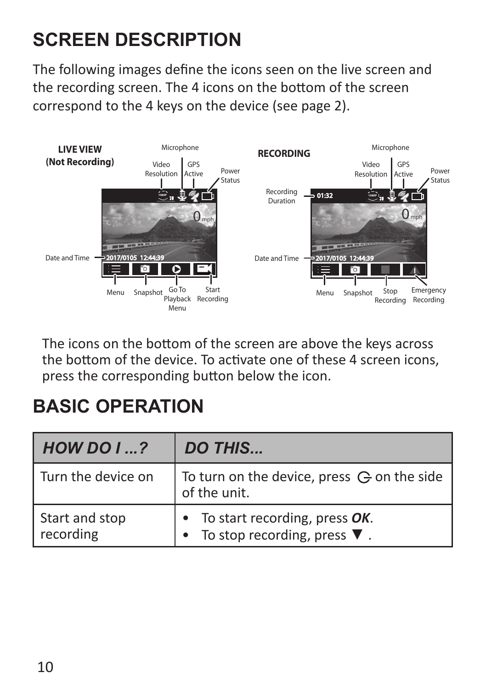## **SCREEN DESCRIPTION**

The following images define the icons seen on the live screen and the recording screen. The 4 icons on the bottom of the screen correspond to the 4 keys on the device (see page 2).



The icons on the bottom of the screen are above the keys across the bottom of the device. To activate one of these 4 screen icons, press the corresponding button below the icon.

### **BASIC OPERATION**

| HOWDO1?                     | DO THIS                                                                |
|-----------------------------|------------------------------------------------------------------------|
| Turn the device on          | To turn on the device, press $\ominus$ on the side<br>of the unit.     |
| Start and stop<br>recording | • To start recording, press OK.<br>To stop recording, press $\nabla$ . |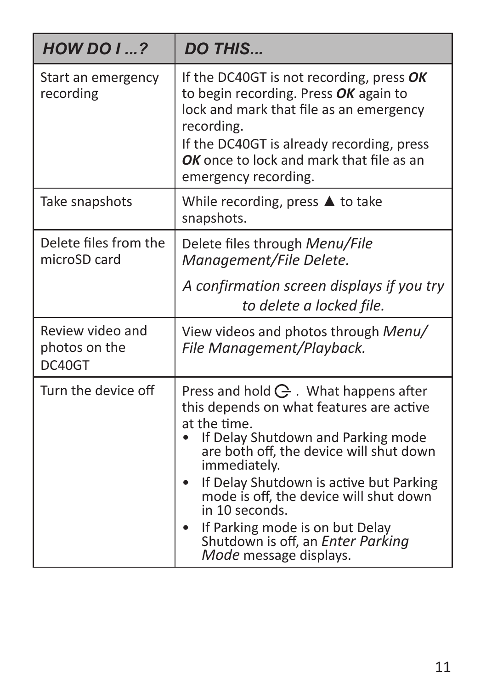| HOWDO1?                                     | DO THIS                                                                                                                                                                                                                                                                                                                                                                                                             |
|---------------------------------------------|---------------------------------------------------------------------------------------------------------------------------------------------------------------------------------------------------------------------------------------------------------------------------------------------------------------------------------------------------------------------------------------------------------------------|
| Start an emergency<br>recording             | If the DC40GT is not recording, press OK<br>to begin recording. Press OK again to<br>lock and mark that file as an emergency<br>recording.<br>If the DC40GT is already recording, press<br>OK once to lock and mark that file as an<br>emergency recording.                                                                                                                                                         |
| Take snapshots                              | While recording, press $\triangle$ to take<br>snapshots.                                                                                                                                                                                                                                                                                                                                                            |
| Delete files from the<br>microSD card       | Delete files through Menu/File<br>Management/File Delete.                                                                                                                                                                                                                                                                                                                                                           |
|                                             | A confirmation screen displays if you try<br>to delete a locked file.                                                                                                                                                                                                                                                                                                                                               |
| Review video and<br>photos on the<br>DC40GT | View videos and photos through Menu/<br>File Management/Playback.                                                                                                                                                                                                                                                                                                                                                   |
| Turn the device off                         | Press and hold $\ominus$ . What happens after<br>this depends on what features are active<br>at the time.<br>If Delay Shutdown and Parking mode<br>are both off, the device will shut down<br>immediately.<br>If Delay Shutdown is active but Parking<br>mode is off, the device will shut down<br>in 10 seconds.<br>If Parking mode is on but Delay<br>Shutdown is off, an Enter Parking<br>Mode message displays. |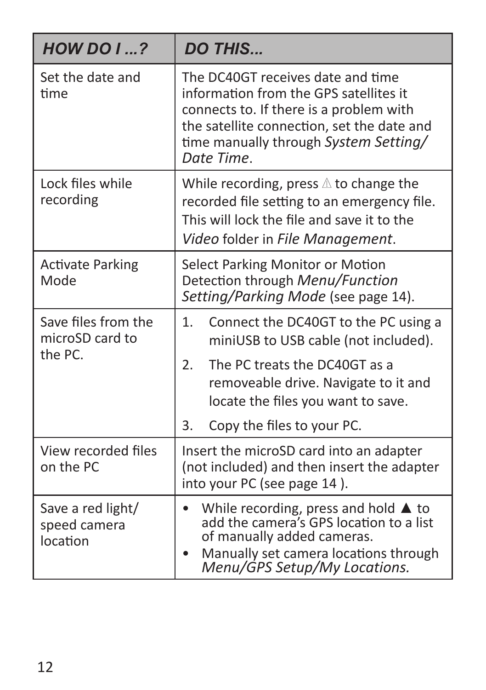| HOWDO12                                           | DO THIS                                                                                                                                                                                                                     |
|---------------------------------------------------|-----------------------------------------------------------------------------------------------------------------------------------------------------------------------------------------------------------------------------|
| Set the date and<br>time                          | The DC40GT receives date and time<br>information from the GPS satellites it<br>connects to. If there is a problem with<br>the satellite connection, set the date and<br>time manually through System Setting/<br>Date Time. |
| Lock files while<br>recording                     | While recording, press $\Delta$ to change the<br>recorded file setting to an emergency file.<br>This will lock the file and save it to the<br>Video folder in File Management.                                              |
| <b>Activate Parking</b><br>Mode                   | Select Parking Monitor or Motion<br>Detection through Menu/Function<br>Setting/Parking Mode (see page 14).                                                                                                                  |
| Save files from the<br>microSD card to<br>the PC. | 1.<br>Connect the DC40GT to the PC using a<br>miniUSB to USB cable (not included).                                                                                                                                          |
|                                                   | The PC treats the DC40GT as a<br>2.<br>removeable drive. Navigate to it and<br>locate the files you want to save.                                                                                                           |
|                                                   | 3.<br>Copy the files to your PC.                                                                                                                                                                                            |
| View recorded files<br>on the PC                  | Insert the microSD card into an adapter<br>(not included) and then insert the adapter<br>into your PC (see page 14).                                                                                                        |
| Save a red light/<br>speed camera<br>location     | While recording, press and hold $\triangle$ to<br>add the camera's GPS location to a list<br>of manually added cameras.<br>Manually set camera locations through<br>Menu/GPS Setup/My Locations.                            |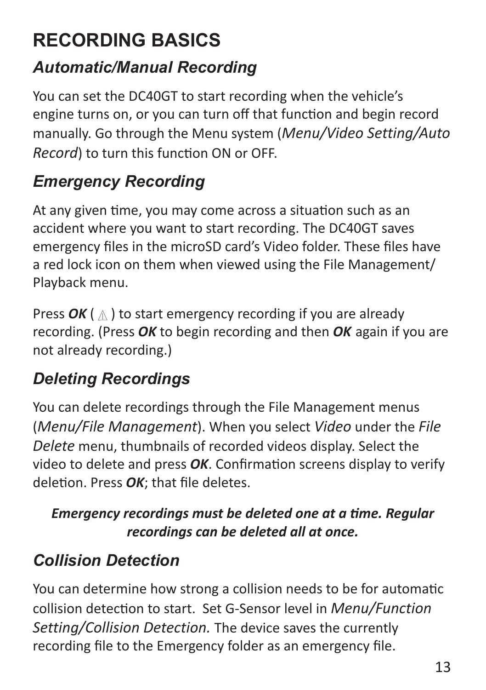# **RECORDING BASICS**

### *Automatic/Manual Recording*

You can set the DC40GT to start recording when the vehicle's engine turns on, or you can turn off that function and begin record manually. Go through the Menu system (*Menu/Video Setting/Auto Record*) to turn this function ON or OFF.

### *Emergency Recording*

At any given time, you may come across a situation such as an accident where you want to start recording. The DC40GT saves emergency files in the microSD card's Video folder. These files have a red lock icon on them when viewed using the File Management/ Playback menu.

Press *OK* (  $\land$  ) to start emergency recording if you are already recording. (Press *OK* to begin recording and then *OK* again if you are not already recording.)

#### *Deleting Recordings*

You can delete recordings through the File Management menus (*Menu/File Management*). When you select *Video* under the *File Delete* menu, thumbnails of recorded videos display. Select the video to delete and press *OK*. Confirmation screens display to verify deletion. Press *OK*; that file deletes.

#### *Emergency recordings must be deleted one at a time. Regular recordings can be deleted all at once.*

#### *Collision Detection*

You can determine how strong a collision needs to be for automatic collision detection to start. Set G-Sensor level in *Menu/Function Setting/Collision Detection.* The device saves the currently recording file to the Emergency folder as an emergency file.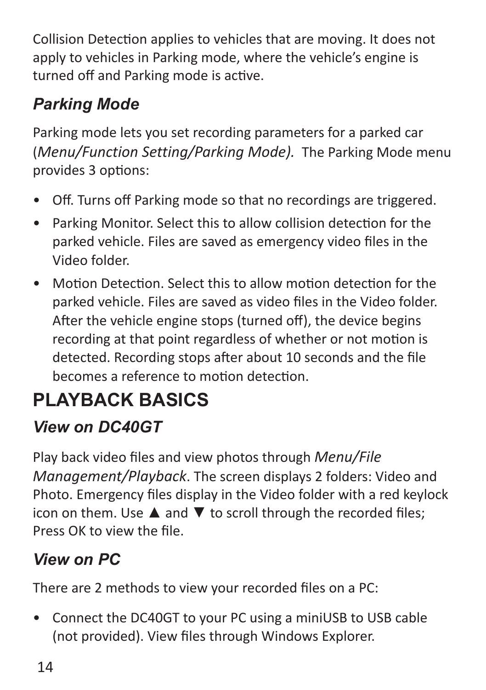Collision Detection applies to vehicles that are moving. It does not apply to vehicles in Parking mode, where the vehicle's engine is turned off and Parking mode is active.

### *Parking Mode*

Parking mode lets you set recording parameters for a parked car (*Menu/Function Setting/Parking Mode).* The Parking Mode menu provides 3 options:

- Off. Turns off Parking mode so that no recordings are triggered.
- Parking Monitor. Select this to allow collision detection for the parked vehicle. Files are saved as emergency video files in the Video folder.
- Motion Detection. Select this to allow motion detection for the parked vehicle. Files are saved as video files in the Video folder. After the vehicle engine stops (turned off), the device begins recording at that point regardless of whether or not motion is detected. Recording stops after about 10 seconds and the file becomes a reference to motion detection.

## **PLAYBACK BASICS**

#### *View on DC40GT*

Play back video files and view photos through *Menu/File Management/Playback*. The screen displays 2 folders: Video and Photo. Emergency files display in the Video folder with a red keylock icon on them. Use ▲ and ▼ to scroll through the recorded files; Press OK to view the file.

### *View on PC*

There are 2 methods to view your recorded files on a PC:

• Connect the DC40GT to your PC using a miniUSB to USB cable (not provided). View files through Windows Explorer.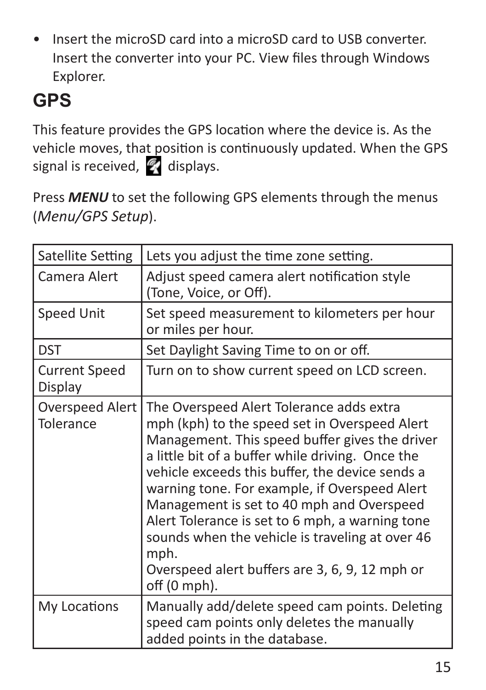• Insert the microSD card into a microSD card to USB converter. Insert the converter into your PC. View files through Windows Explorer.

## **GPS**

This feature provides the GPS location where the device is. As the vehicle moves, that position is continuously updated. When the GPS signal is received.  $\mathbb{Z}$  displays.

Press *MENU* to set the following GPS elements through the menus (*Menu/GPS Setup*).

| Satellite Setting               | Lets you adjust the time zone setting.                                                                                                                                                                                                                                                                                                                                                                                                                                                                                                      |
|---------------------------------|---------------------------------------------------------------------------------------------------------------------------------------------------------------------------------------------------------------------------------------------------------------------------------------------------------------------------------------------------------------------------------------------------------------------------------------------------------------------------------------------------------------------------------------------|
| Camera Alert                    | Adjust speed camera alert notification style<br>(Tone, Voice, or Off).                                                                                                                                                                                                                                                                                                                                                                                                                                                                      |
| Speed Unit                      | Set speed measurement to kilometers per hour<br>or miles per hour.                                                                                                                                                                                                                                                                                                                                                                                                                                                                          |
| <b>DST</b>                      | Set Daylight Saving Time to on or off.                                                                                                                                                                                                                                                                                                                                                                                                                                                                                                      |
| <b>Current Speed</b><br>Display | Turn on to show current speed on LCD screen.                                                                                                                                                                                                                                                                                                                                                                                                                                                                                                |
| Overspeed Alert<br>Tolerance    | The Overspeed Alert Tolerance adds extra<br>mph (kph) to the speed set in Overspeed Alert<br>Management. This speed buffer gives the driver<br>a little bit of a buffer while driving. Once the<br>vehicle exceeds this buffer, the device sends a<br>warning tone. For example, if Overspeed Alert<br>Management is set to 40 mph and Overspeed<br>Alert Tolerance is set to 6 mph, a warning tone<br>sounds when the vehicle is traveling at over 46<br>mph.<br>Overspeed alert buffers are 3, 6, 9, 12 mph or<br>off $(0 \text{ mph})$ . |
| My Locations                    | Manually add/delete speed cam points. Deleting<br>speed cam points only deletes the manually<br>added points in the database.                                                                                                                                                                                                                                                                                                                                                                                                               |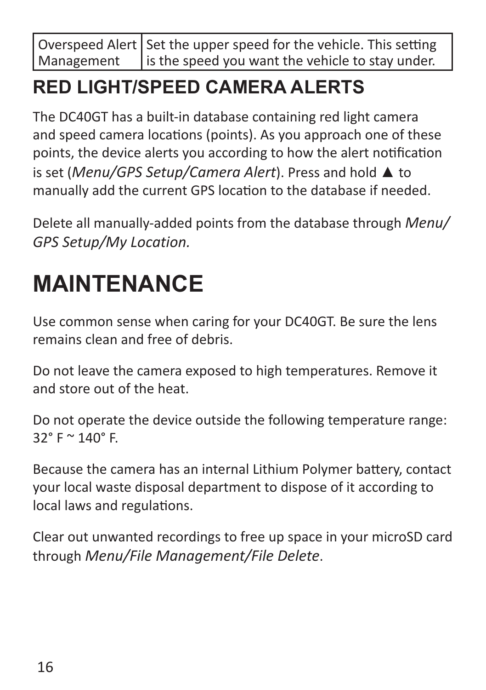Overspeed Alert Set the upper speed for the vehicle. This setting Management is the speed you want the vehicle to stay under.

### **RED LIGHT/SPEED CAMERA ALERTS**

The DC40GT has a built-in database containing red light camera and speed camera locations (points). As you approach one of these points, the device alerts you according to how the alert notification is set (*Menu/GPS Setup/Camera Alert*). Press and hold ▲ to manually add the current GPS location to the database if needed.

Delete all manually-added points from the database through *Menu/ GPS Setup/My Location.*

# **MAINTENANCE**

Use common sense when caring for your DC40GT. Be sure the lens remains clean and free of debris.

Do not leave the camera exposed to high temperatures. Remove it and store out of the heat.

Do not operate the device outside the following temperature range: 32° F ~ 140° F.

Because the camera has an internal Lithium Polymer battery, contact your local waste disposal department to dispose of it according to local laws and regulations.

Clear out unwanted recordings to free up space in your microSD card through *Menu/File Management/File Delete*.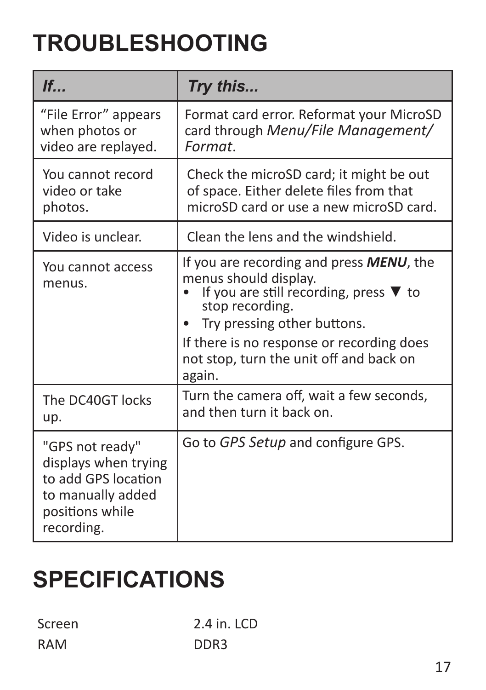# **TROUBLESHOOTING**

| If                                                                                                                   | Try this                                                                                                                                                                                                                                                                                   |
|----------------------------------------------------------------------------------------------------------------------|--------------------------------------------------------------------------------------------------------------------------------------------------------------------------------------------------------------------------------------------------------------------------------------------|
| "File Error" appears<br>when photos or<br>video are replayed.                                                        | Format card error. Reformat your MicroSD<br>card through Menu/File Management/<br>Format                                                                                                                                                                                                   |
| You cannot record<br>video or take<br>photos.                                                                        | Check the microSD card; it might be out<br>of space. Either delete files from that<br>microSD card or use a new microSD card.                                                                                                                                                              |
| Video is unclear.                                                                                                    | Clean the lens and the windshield.                                                                                                                                                                                                                                                         |
| You cannot access<br>menus.                                                                                          | If you are recording and press <b>MENU</b> , the<br>menus should display.<br>If you are still recording, press $\blacktriangledown$ to<br>stop recording.<br>Try pressing other buttons.<br>If there is no response or recording does<br>not stop, turn the unit off and back on<br>again. |
| The DC40GT locks<br>up.                                                                                              | Turn the camera off, wait a few seconds,<br>and then turn it back on.                                                                                                                                                                                                                      |
| "GPS not ready"<br>displays when trying<br>to add GPS location<br>to manually added<br>positions while<br>recording. | Go to GPS Setup and configure GPS.                                                                                                                                                                                                                                                         |

# **SPECIFICATIONS**

RAM DDR3

Screen 2.4 in. LCD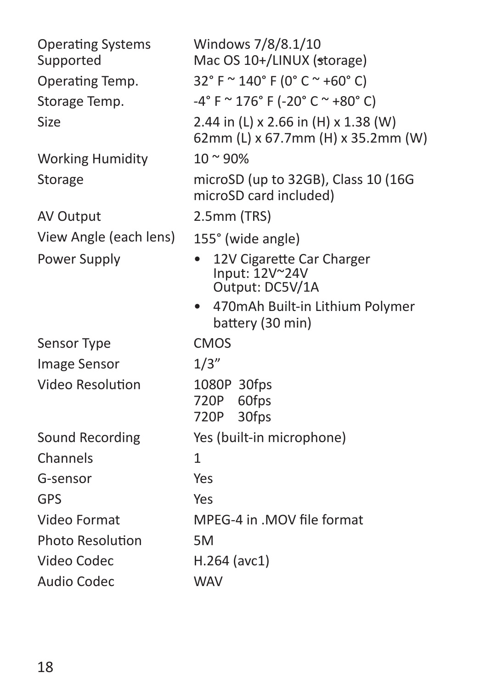| <b>Operating Systems</b><br>Supported | Windows 7/8/8.1/10<br>Mac OS 10+/LINUX (storage)                                  |
|---------------------------------------|-----------------------------------------------------------------------------------|
| Operating Temp.                       | 32° F ~ 140° F (0° C ~ +60° C)                                                    |
|                                       |                                                                                   |
| Storage Temp.                         | $-4^{\circ}$ F $\sim$ 176 $^{\circ}$ F (-20 $^{\circ}$ C $\sim$ +80 $^{\circ}$ C) |
| Size                                  | 2.44 in (L) x 2.66 in (H) x 1.38 (W)<br>62mm (L) x 67.7mm (H) x 35.2mm (W)        |
| <b>Working Humidity</b>               | $10 - 90%$                                                                        |
| Storage                               | microSD (up to 32GB), Class 10 (16G<br>microSD card included)                     |
| AV Output                             | 2.5mm (TRS)                                                                       |
| View Angle (each lens)                | 155° (wide angle)                                                                 |
| Power Supply                          | 12V Cigarette Car Charger<br>Input: 12V~24V<br>Output: DC5V/1A                    |
|                                       | • 470mAh Built-in Lithium Polymer<br>battery (30 min)                             |
| Sensor Type                           | CMOS                                                                              |
| <b>Image Sensor</b>                   | 1/3''                                                                             |
| Video Resolution                      | 1080P 30fps                                                                       |
|                                       | 60fps<br>720P                                                                     |
|                                       | 720P<br>30fps                                                                     |
| Sound Recording                       | Yes (built-in microphone)                                                         |
| Channels                              | 1                                                                                 |
| G-sensor                              | Yes                                                                               |
| GPS                                   | Yes                                                                               |
| Video Format                          | MPEG-4 in .MOV file format                                                        |
| Photo Resolution                      | 5M                                                                                |
| Video Codec                           | H.264 (avc1)                                                                      |
| Audio Codec                           | <b>WAV</b>                                                                        |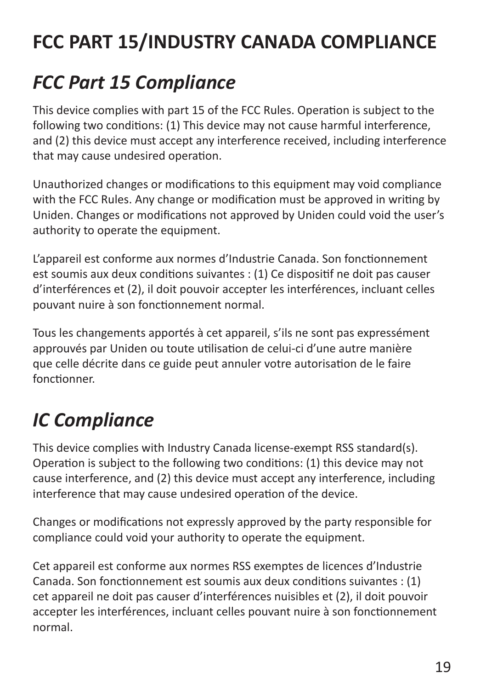## **FCC PART 15/INDUSTRY CANADA COMPLIANCE**

## *FCC Part 15 Compliance*

This device complies with part 15 of the FCC Rules. Operation is subject to the following two conditions: (1) This device may not cause harmful interference, and (2) this device must accept any interference received, including interference that may cause undesired operation.

Unauthorized changes or modifications to this equipment may void compliance with the FCC Rules. Any change or modification must be approved in writing by Uniden. Changes or modifications not approved by Uniden could void the user's authority to operate the equipment.

L'appareil est conforme aux normes d'Industrie Canada. Son fonctionnement est soumis aux deux conditions suivantes : (1) Ce dispositif ne doit pas causer d'interférences et (2), il doit pouvoir accepter les interférences, incluant celles pouvant nuire à son fonctionnement normal.

Tous les changements apportés à cet appareil, s'ils ne sont pas expressément approuvés par Uniden ou toute utilisation de celui-ci d'une autre manière que celle décrite dans ce guide peut annuler votre autorisation de le faire fonctionner.

## *IC Compliance*

This device complies with Industry Canada license-exempt RSS standard(s). Operation is subject to the following two conditions: (1) this device may not cause interference, and (2) this device must accept any interference, including interference that may cause undesired operation of the device.

Changes or modifications not expressly approved by the party responsible for compliance could void your authority to operate the equipment.

Cet appareil est conforme aux normes RSS exemptes de licences d'Industrie Canada. Son fonctionnement est soumis aux deux conditions suivantes : (1) cet appareil ne doit pas causer d'interférences nuisibles et (2), il doit pouvoir accepter les interférences, incluant celles pouvant nuire à son fonctionnement normal.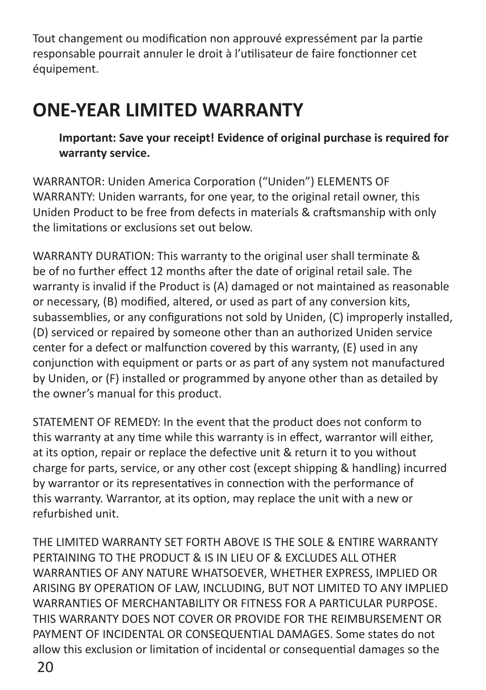Tout changement ou modification non approuvé expressément par la partie responsable pourrait annuler le droit à l'utilisateur de faire fonctionner cet équipement.

### **ONE-YEAR LIMITED WARRANTY**

**Important: Save your receipt! Evidence of original purchase is required for warranty service.**

WARRANTOR: Uniden America Corporation ("Uniden") ELEMENTS OF WARRANTY: Uniden warrants, for one year, to the original retail owner, this Uniden Product to be free from defects in materials & craftsmanship with only the limitations or exclusions set out below.

WARRANTY DURATION: This warranty to the original user shall terminate & be of no further effect 12 months after the date of original retail sale. The warranty is invalid if the Product is (A) damaged or not maintained as reasonable or necessary, (B) modified, altered, or used as part of any conversion kits, subassemblies, or any configurations not sold by Uniden, (C) improperly installed, (D) serviced or repaired by someone other than an authorized Uniden service center for a defect or malfunction covered by this warranty, (E) used in any conjunction with equipment or parts or as part of any system not manufactured by Uniden, or (F) installed or programmed by anyone other than as detailed by the owner's manual for this product.

STATEMENT OF REMEDY: In the event that the product does not conform to this warranty at any time while this warranty is in effect, warrantor will either, at its option, repair or replace the defective unit & return it to you without charge for parts, service, or any other cost (except shipping & handling) incurred by warrantor or its representatives in connection with the performance of this warranty. Warrantor, at its option, may replace the unit with a new or refurbished unit.

THE LIMITED WARRANTY SET FORTH ABOVE IS THE SOLE & ENTIRE WARRANTY PERTAINING TO THE PRODUCT & IS IN LIEU OF & EXCLUDES ALL OTHER WARRANTIES OF ANY NATURE WHATSOEVER, WHETHER EXPRESS, IMPLIED OR ARISING BY OPERATION OF LAW, INCLUDING, BUT NOT LIMITED TO ANY IMPLIED WARRANTIES OF MERCHANTABILITY OR FITNESS FOR A PARTICULAR PURPOSE. THIS WARRANTY DOES NOT COVER OR PROVIDE FOR THE REIMBURSEMENT OR PAYMENT OF INCIDENTAL OR CONSEQUENTIAL DAMAGES. Some states do not allow this exclusion or limitation of incidental or consequential damages so the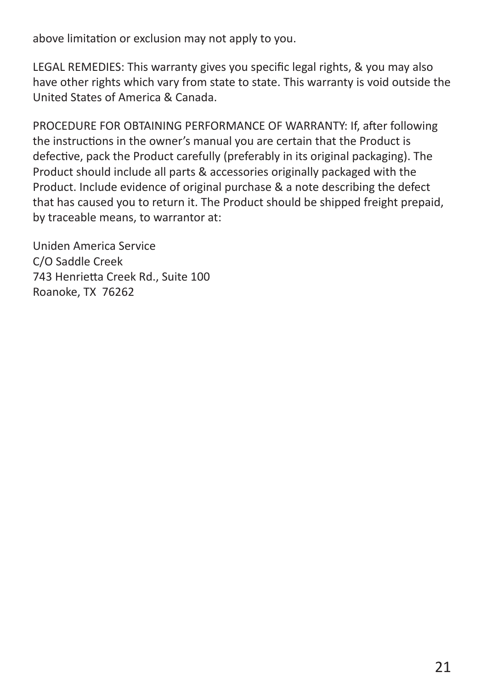above limitation or exclusion may not apply to you.

LEGAL REMEDIES: This warranty gives you specific legal rights, & you may also have other rights which vary from state to state. This warranty is void outside the United States of America & Canada.

PROCEDURE FOR OBTAINING PERFORMANCE OF WARRANTY: If, after following the instructions in the owner's manual you are certain that the Product is defective, pack the Product carefully (preferably in its original packaging). The Product should include all parts & accessories originally packaged with the Product. Include evidence of original purchase & a note describing the defect that has caused you to return it. The Product should be shipped freight prepaid, by traceable means, to warrantor at:

Uniden America Service C/O Saddle Creek 743 Henrietta Creek Rd., Suite 100 Roanoke, TX 76262